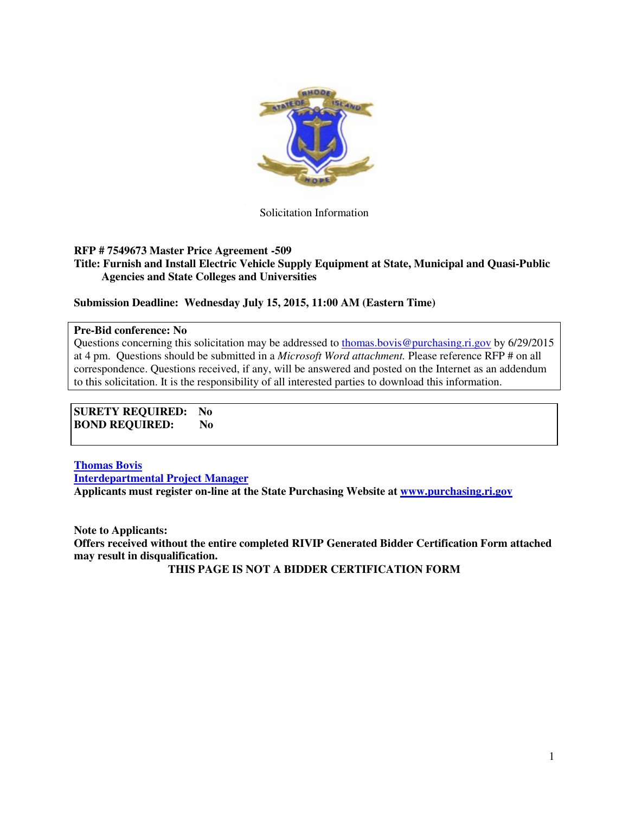

Solicitation Information

### **RFP # 7549673 Master Price Agreement -509**

**Title: Furnish and Install Electric Vehicle Supply Equipment at State, Municipal and Quasi-Public Agencies and State Colleges and Universities** 

**Submission Deadline: Wednesday July 15, 2015, 11:00 AM (Eastern Time)** 

#### **Pre-Bid conference: No**

Questions concerning this solicitation may be addressed to thomas.bovis@purchasing.ri.gov by 6/29/2015 at 4 pm. Questions should be submitted in a *Microsoft Word attachment.* Please reference RFP # on all correspondence. Questions received, if any, will be answered and posted on the Internet as an addendum to this solicitation. It is the responsibility of all interested parties to download this information.

**SURETY REQUIRED: No BOND REQUIRED: No** 

**Thomas Bovis Interdepartmental Project Manager Applicants must register on-line at the State Purchasing Website at www.purchasing.ri.gov** 

**Note to Applicants: Offers received without the entire completed RIVIP Generated Bidder Certification Form attached may result in disqualification.** 

**THIS PAGE IS NOT A BIDDER CERTIFICATION FORM**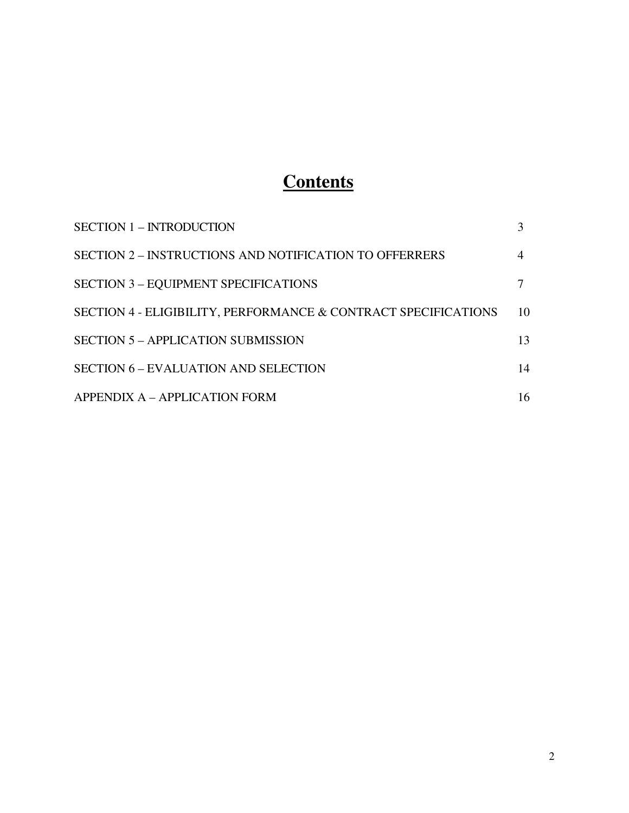# **Contents**

| <b>SECTION 1 - INTRODUCTION</b>                                |    |
|----------------------------------------------------------------|----|
| <b>SECTION 2 – INSTRUCTIONS AND NOTIFICATION TO OFFERRERS</b>  |    |
| <b>SECTION 3 - EQUIPMENT SPECIFICATIONS</b>                    |    |
| SECTION 4 - ELIGIBILITY, PERFORMANCE & CONTRACT SPECIFICATIONS | 10 |
| <b>SECTION 5 - APPLICATION SUBMISSION</b>                      | 13 |
| <b>SECTION 6 – EVALUATION AND SELECTION</b>                    | 14 |
| APPENDIX A - APPLICATION FORM                                  | 16 |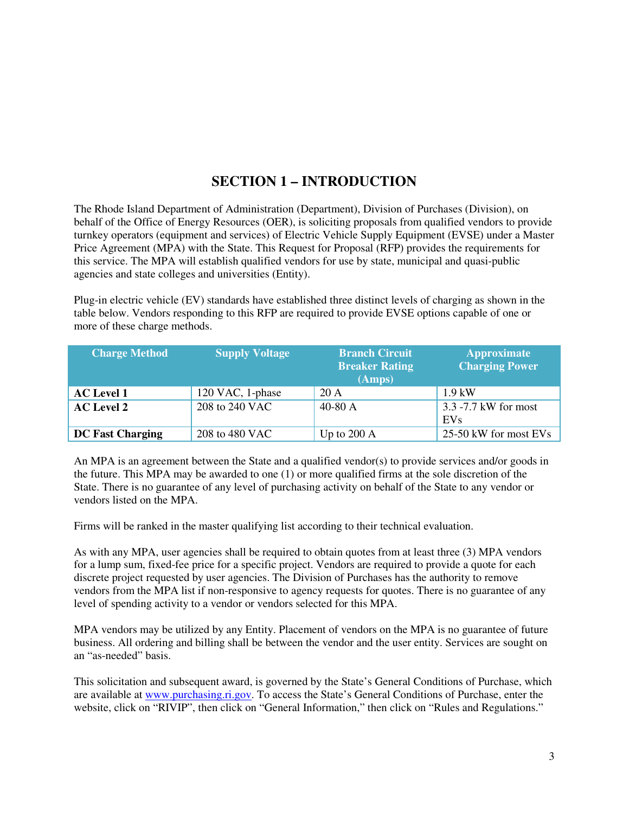### **SECTION 1 – INTRODUCTION**

The Rhode Island Department of Administration (Department), Division of Purchases (Division), on behalf of the Office of Energy Resources (OER), is soliciting proposals from qualified vendors to provide turnkey operators (equipment and services) of Electric Vehicle Supply Equipment (EVSE) under a Master Price Agreement (MPA) with the State. This Request for Proposal (RFP) provides the requirements for this service. The MPA will establish qualified vendors for use by state, municipal and quasi-public agencies and state colleges and universities (Entity).

Plug-in electric vehicle (EV) standards have established three distinct levels of charging as shown in the table below. Vendors responding to this RFP are required to provide EVSE options capable of one or more of these charge methods.

| <b>Charge Method</b>    | <b>Supply Voltage</b> | <b>Branch Circuit</b><br><b>Breaker Rating</b><br>(Amps) | <b>Approximate</b><br><b>Charging Power</b> |
|-------------------------|-----------------------|----------------------------------------------------------|---------------------------------------------|
| <b>AC</b> Level 1       | 120 VAC, 1-phase      | 20A                                                      | $1.9$ kW                                    |
| <b>AC Level 2</b>       | 208 to 240 VAC        | $40-80$ A                                                | 3.3 -7.7 kW for most<br>EVs                 |
| <b>DC Fast Charging</b> | 208 to 480 VAC        | Up to $200 \text{ A}$                                    | 25-50 kW for most EVs                       |

An MPA is an agreement between the State and a qualified vendor(s) to provide services and/or goods in the future. This MPA may be awarded to one (1) or more qualified firms at the sole discretion of the State. There is no guarantee of any level of purchasing activity on behalf of the State to any vendor or vendors listed on the MPA.

Firms will be ranked in the master qualifying list according to their technical evaluation.

As with any MPA, user agencies shall be required to obtain quotes from at least three (3) MPA vendors for a lump sum, fixed-fee price for a specific project. Vendors are required to provide a quote for each discrete project requested by user agencies. The Division of Purchases has the authority to remove vendors from the MPA list if non-responsive to agency requests for quotes. There is no guarantee of any level of spending activity to a vendor or vendors selected for this MPA.

MPA vendors may be utilized by any Entity. Placement of vendors on the MPA is no guarantee of future business. All ordering and billing shall be between the vendor and the user entity. Services are sought on an "as-needed" basis.

This solicitation and subsequent award, is governed by the State's General Conditions of Purchase, which are available at www.purchasing.ri.gov. To access the State's General Conditions of Purchase, enter the website, click on "RIVIP", then click on "General Information," then click on "Rules and Regulations."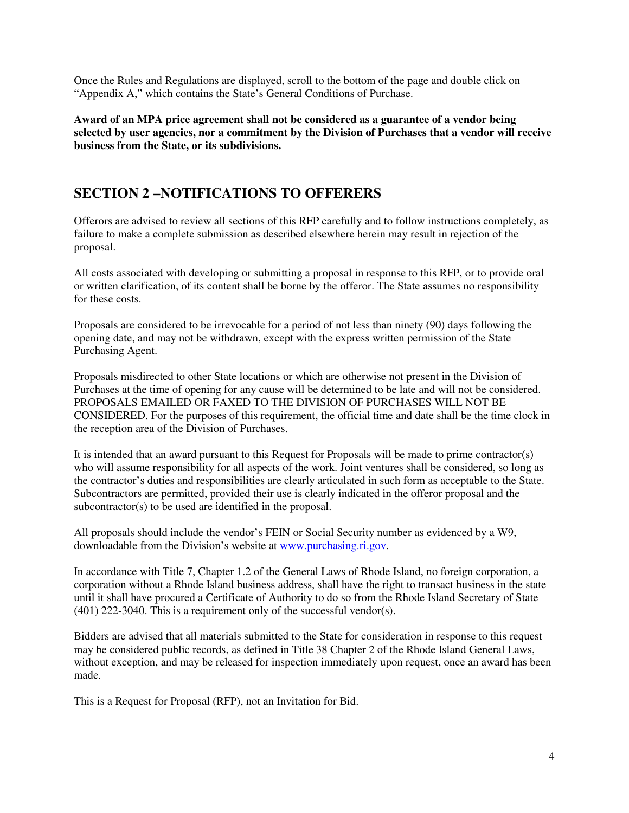Once the Rules and Regulations are displayed, scroll to the bottom of the page and double click on "Appendix A," which contains the State's General Conditions of Purchase.

**Award of an MPA price agreement shall not be considered as a guarantee of a vendor being selected by user agencies, nor a commitment by the Division of Purchases that a vendor will receive business from the State, or its subdivisions.** 

### **SECTION 2 –NOTIFICATIONS TO OFFERERS**

Offerors are advised to review all sections of this RFP carefully and to follow instructions completely, as failure to make a complete submission as described elsewhere herein may result in rejection of the proposal.

All costs associated with developing or submitting a proposal in response to this RFP, or to provide oral or written clarification, of its content shall be borne by the offeror. The State assumes no responsibility for these costs.

Proposals are considered to be irrevocable for a period of not less than ninety (90) days following the opening date, and may not be withdrawn, except with the express written permission of the State Purchasing Agent.

Proposals misdirected to other State locations or which are otherwise not present in the Division of Purchases at the time of opening for any cause will be determined to be late and will not be considered. PROPOSALS EMAILED OR FAXED TO THE DIVISION OF PURCHASES WILL NOT BE CONSIDERED. For the purposes of this requirement, the official time and date shall be the time clock in the reception area of the Division of Purchases.

It is intended that an award pursuant to this Request for Proposals will be made to prime contractor(s) who will assume responsibility for all aspects of the work. Joint ventures shall be considered, so long as the contractor's duties and responsibilities are clearly articulated in such form as acceptable to the State. Subcontractors are permitted, provided their use is clearly indicated in the offeror proposal and the subcontractor(s) to be used are identified in the proposal.

All proposals should include the vendor's FEIN or Social Security number as evidenced by a W9, downloadable from the Division's website at www.purchasing.ri.gov.

In accordance with Title 7, Chapter 1.2 of the General Laws of Rhode Island, no foreign corporation, a corporation without a Rhode Island business address, shall have the right to transact business in the state until it shall have procured a Certificate of Authority to do so from the Rhode Island Secretary of State (401) 222-3040. This is a requirement only of the successful vendor(s).

Bidders are advised that all materials submitted to the State for consideration in response to this request may be considered public records, as defined in Title 38 Chapter 2 of the Rhode Island General Laws, without exception, and may be released for inspection immediately upon request, once an award has been made.

This is a Request for Proposal (RFP), not an Invitation for Bid.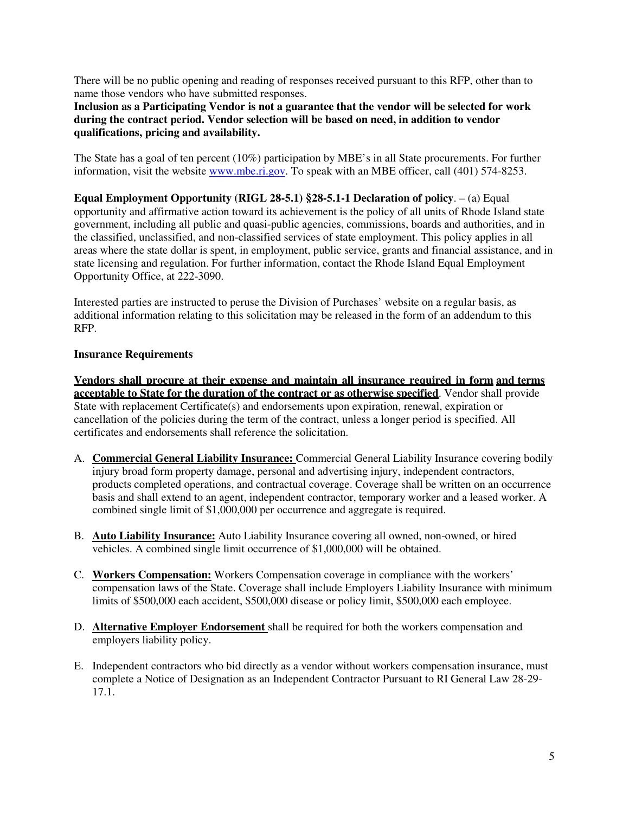There will be no public opening and reading of responses received pursuant to this RFP, other than to name those vendors who have submitted responses.

**Inclusion as a Participating Vendor is not a guarantee that the vendor will be selected for work during the contract period. Vendor selection will be based on need, in addition to vendor qualifications, pricing and availability.**

The State has a goal of ten percent (10%) participation by MBE's in all State procurements. For further information, visit the website www.mbe.ri.gov. To speak with an MBE officer, call (401) 574-8253.

**Equal Employment Opportunity (RIGL 28-5.1) §28-5.1-1 Declaration of policy**. – (a) Equal opportunity and affirmative action toward its achievement is the policy of all units of Rhode Island state government, including all public and quasi-public agencies, commissions, boards and authorities, and in the classified, unclassified, and non-classified services of state employment. This policy applies in all areas where the state dollar is spent, in employment, public service, grants and financial assistance, and in state licensing and regulation. For further information, contact the Rhode Island Equal Employment Opportunity Office, at 222-3090.

Interested parties are instructed to peruse the Division of Purchases' website on a regular basis, as additional information relating to this solicitation may be released in the form of an addendum to this RFP.

#### **Insurance Requirements**

**Vendors shall procure at their expense and maintain all insurance required in form and terms acceptable to State for the duration of the contract or as otherwise specified**. Vendor shall provide State with replacement Certificate(s) and endorsements upon expiration, renewal, expiration or cancellation of the policies during the term of the contract, unless a longer period is specified. All certificates and endorsements shall reference the solicitation.

- A. **Commercial General Liability Insurance:** Commercial General Liability Insurance covering bodily injury broad form property damage, personal and advertising injury, independent contractors, products completed operations, and contractual coverage. Coverage shall be written on an occurrence basis and shall extend to an agent, independent contractor, temporary worker and a leased worker. A combined single limit of \$1,000,000 per occurrence and aggregate is required.
- B. **Auto Liability Insurance:** Auto Liability Insurance covering all owned, non-owned, or hired vehicles. A combined single limit occurrence of \$1,000,000 will be obtained.
- C. **Workers Compensation:** Workers Compensation coverage in compliance with the workers' compensation laws of the State. Coverage shall include Employers Liability Insurance with minimum limits of \$500,000 each accident, \$500,000 disease or policy limit, \$500,000 each employee.
- D. **Alternative Employer Endorsement** shall be required for both the workers compensation and employers liability policy.
- E. Independent contractors who bid directly as a vendor without workers compensation insurance, must complete a Notice of Designation as an Independent Contractor Pursuant to RI General Law 28-29- 17.1.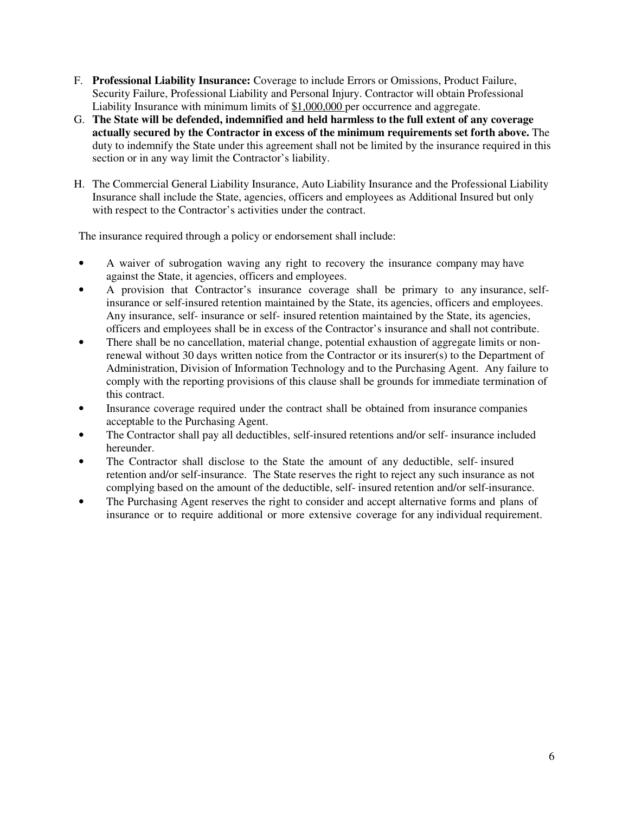- F. **Professional Liability Insurance:** Coverage to include Errors or Omissions, Product Failure, Security Failure, Professional Liability and Personal Injury. Contractor will obtain Professional Liability Insurance with minimum limits of \$1,000,000 per occurrence and aggregate.
- G. **The State will be defended, indemnified and held harmless to the full extent of any coverage actually secured by the Contractor in excess of the minimum requirements set forth above.** The duty to indemnify the State under this agreement shall not be limited by the insurance required in this section or in any way limit the Contractor's liability.
- H. The Commercial General Liability Insurance, Auto Liability Insurance and the Professional Liability Insurance shall include the State, agencies, officers and employees as Additional Insured but only with respect to the Contractor's activities under the contract.

The insurance required through a policy or endorsement shall include:

- A waiver of subrogation waving any right to recovery the insurance company may have against the State, it agencies, officers and employees.
- A provision that Contractor's insurance coverage shall be primary to any insurance, selfinsurance or self-insured retention maintained by the State, its agencies, officers and employees. Any insurance, self- insurance or self- insured retention maintained by the State, its agencies, officers and employees shall be in excess of the Contractor's insurance and shall not contribute.
- There shall be no cancellation, material change, potential exhaustion of aggregate limits or nonrenewal without 30 days written notice from the Contractor or its insurer(s) to the Department of Administration, Division of Information Technology and to the Purchasing Agent. Any failure to comply with the reporting provisions of this clause shall be grounds for immediate termination of this contract.
- Insurance coverage required under the contract shall be obtained from insurance companies acceptable to the Purchasing Agent.
- The Contractor shall pay all deductibles, self-insured retentions and/or self- insurance included hereunder.
- The Contractor shall disclose to the State the amount of any deductible, self- insured retention and/or self-insurance. The State reserves the right to reject any such insurance as not complying based on the amount of the deductible, self- insured retention and/or self-insurance.
- The Purchasing Agent reserves the right to consider and accept alternative forms and plans of insurance or to require additional or more extensive coverage for any individual requirement.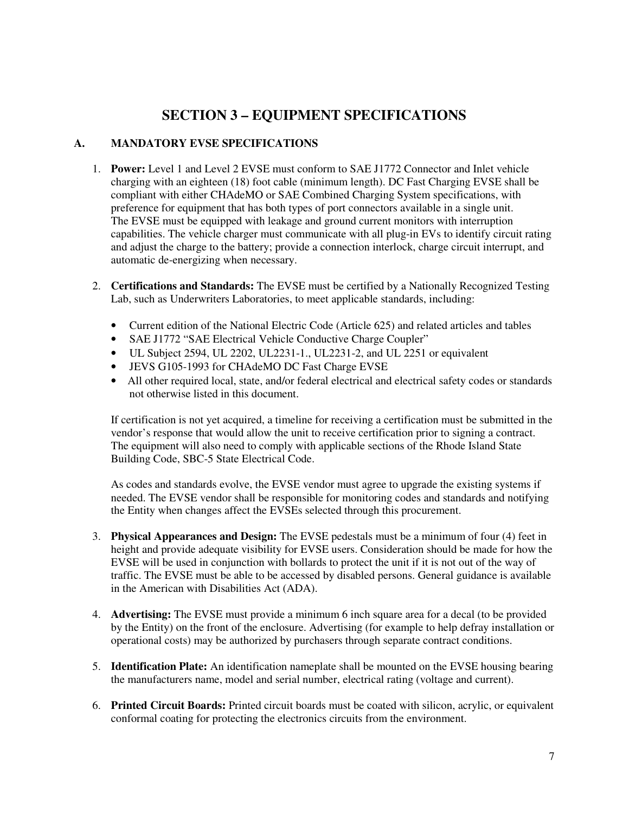## **SECTION 3 – EQUIPMENT SPECIFICATIONS**

### **A. MANDATORY EVSE SPECIFICATIONS**

- 1. **Power:** Level 1 and Level 2 EVSE must conform to SAE J1772 Connector and Inlet vehicle charging with an eighteen (18) foot cable (minimum length). DC Fast Charging EVSE shall be compliant with either CHAdeMO or SAE Combined Charging System specifications, with preference for equipment that has both types of port connectors available in a single unit. The EVSE must be equipped with leakage and ground current monitors with interruption capabilities. The vehicle charger must communicate with all plug-in EVs to identify circuit rating and adjust the charge to the battery; provide a connection interlock, charge circuit interrupt, and automatic de-energizing when necessary.
- 2. **Certifications and Standards:** The EVSE must be certified by a Nationally Recognized Testing Lab, such as Underwriters Laboratories, to meet applicable standards, including:
	- Current edition of the National Electric Code (Article 625) and related articles and tables
	- SAE J1772 "SAE Electrical Vehicle Conductive Charge Coupler"
	- UL Subject 2594, UL 2202, UL2231-1., UL2231-2, and UL 2251 or equivalent
	- JEVS G105-1993 for CHAdeMO DC Fast Charge EVSE
	- All other required local, state, and/or federal electrical and electrical safety codes or standards not otherwise listed in this document.

If certification is not yet acquired, a timeline for receiving a certification must be submitted in the vendor's response that would allow the unit to receive certification prior to signing a contract. The equipment will also need to comply with applicable sections of the Rhode Island State Building Code, SBC-5 State Electrical Code.

As codes and standards evolve, the EVSE vendor must agree to upgrade the existing systems if needed. The EVSE vendor shall be responsible for monitoring codes and standards and notifying the Entity when changes affect the EVSEs selected through this procurement.

- 3. **Physical Appearances and Design:** The EVSE pedestals must be a minimum of four (4) feet in height and provide adequate visibility for EVSE users. Consideration should be made for how the EVSE will be used in conjunction with bollards to protect the unit if it is not out of the way of traffic. The EVSE must be able to be accessed by disabled persons. General guidance is available in the American with Disabilities Act (ADA).
- 4. **Advertising:** The EVSE must provide a minimum 6 inch square area for a decal (to be provided by the Entity) on the front of the enclosure. Advertising (for example to help defray installation or operational costs) may be authorized by purchasers through separate contract conditions.
- 5. **Identification Plate:** An identification nameplate shall be mounted on the EVSE housing bearing the manufacturers name, model and serial number, electrical rating (voltage and current).
- 6. **Printed Circuit Boards:** Printed circuit boards must be coated with silicon, acrylic, or equivalent conformal coating for protecting the electronics circuits from the environment.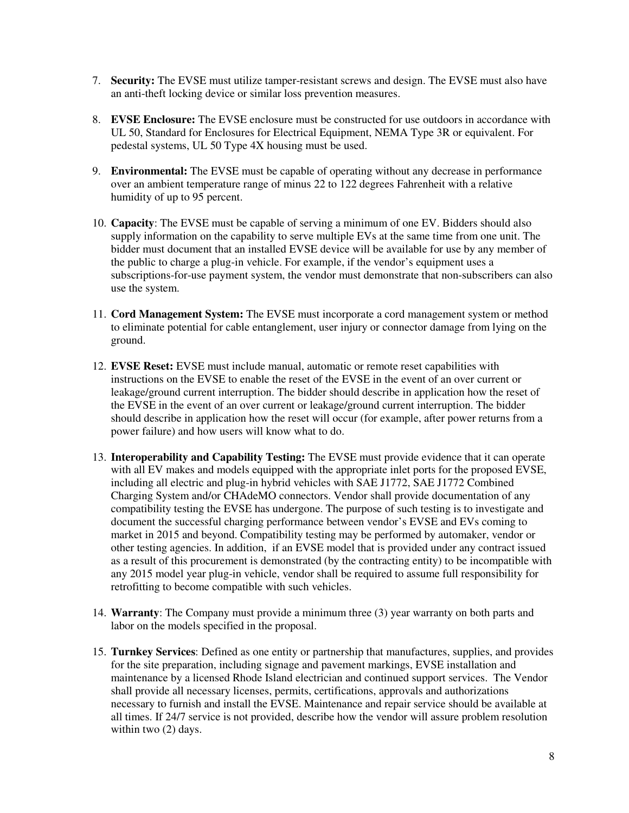- 7. **Security:** The EVSE must utilize tamper-resistant screws and design. The EVSE must also have an anti-theft locking device or similar loss prevention measures.
- 8. **EVSE Enclosure:** The EVSE enclosure must be constructed for use outdoors in accordance with UL 50, Standard for Enclosures for Electrical Equipment, NEMA Type 3R or equivalent. For pedestal systems, UL 50 Type 4X housing must be used.
- 9. **Environmental:** The EVSE must be capable of operating without any decrease in performance over an ambient temperature range of minus 22 to 122 degrees Fahrenheit with a relative humidity of up to 95 percent.
- 10. **Capacity**: The EVSE must be capable of serving a minimum of one EV. Bidders should also supply information on the capability to serve multiple EVs at the same time from one unit. The bidder must document that an installed EVSE device will be available for use by any member of the public to charge a plug-in vehicle. For example, if the vendor's equipment uses a subscriptions-for-use payment system, the vendor must demonstrate that non-subscribers can also use the system.
- 11. **Cord Management System:** The EVSE must incorporate a cord management system or method to eliminate potential for cable entanglement, user injury or connector damage from lying on the ground.
- 12. **EVSE Reset:** EVSE must include manual, automatic or remote reset capabilities with instructions on the EVSE to enable the reset of the EVSE in the event of an over current or leakage/ground current interruption. The bidder should describe in application how the reset of the EVSE in the event of an over current or leakage/ground current interruption. The bidder should describe in application how the reset will occur (for example, after power returns from a power failure) and how users will know what to do.
- 13. **Interoperability and Capability Testing:** The EVSE must provide evidence that it can operate with all EV makes and models equipped with the appropriate inlet ports for the proposed EVSE, including all electric and plug-in hybrid vehicles with SAE J1772, SAE J1772 Combined Charging System and/or CHAdeMO connectors. Vendor shall provide documentation of any compatibility testing the EVSE has undergone. The purpose of such testing is to investigate and document the successful charging performance between vendor's EVSE and EVs coming to market in 2015 and beyond. Compatibility testing may be performed by automaker, vendor or other testing agencies. In addition, if an EVSE model that is provided under any contract issued as a result of this procurement is demonstrated (by the contracting entity) to be incompatible with any 2015 model year plug-in vehicle, vendor shall be required to assume full responsibility for retrofitting to become compatible with such vehicles.
- 14. **Warranty**: The Company must provide a minimum three (3) year warranty on both parts and labor on the models specified in the proposal.
- 15. **Turnkey Services**: Defined as one entity or partnership that manufactures, supplies, and provides for the site preparation, including signage and pavement markings, EVSE installation and maintenance by a licensed Rhode Island electrician and continued support services. The Vendor shall provide all necessary licenses, permits, certifications, approvals and authorizations necessary to furnish and install the EVSE. Maintenance and repair service should be available at all times. If 24/7 service is not provided, describe how the vendor will assure problem resolution within two  $(2)$  days.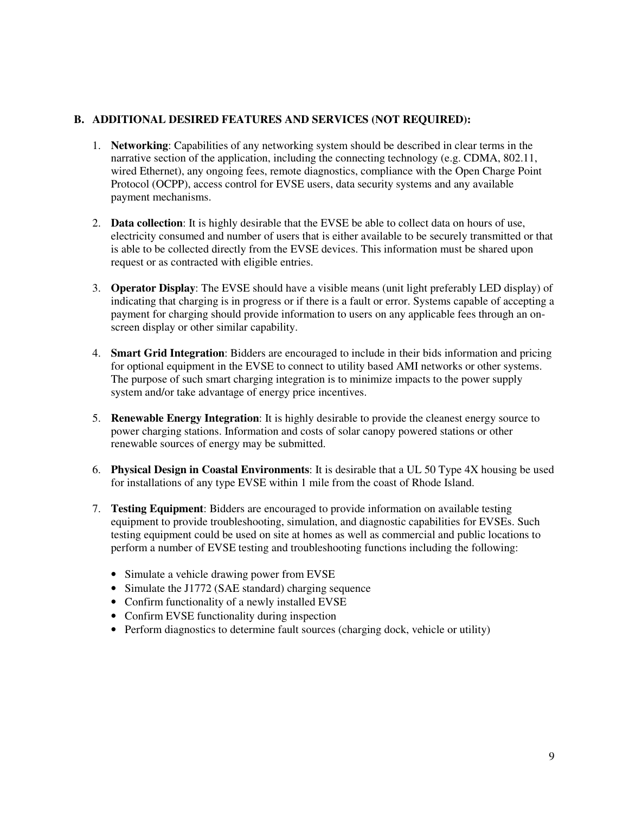### **B. ADDITIONAL DESIRED FEATURES AND SERVICES (NOT REQUIRED):**

- 1. **Networking**: Capabilities of any networking system should be described in clear terms in the narrative section of the application, including the connecting technology (e.g. CDMA, 802.11, wired Ethernet), any ongoing fees, remote diagnostics, compliance with the Open Charge Point Protocol (OCPP), access control for EVSE users, data security systems and any available payment mechanisms.
- 2. **Data collection**: It is highly desirable that the EVSE be able to collect data on hours of use, electricity consumed and number of users that is either available to be securely transmitted or that is able to be collected directly from the EVSE devices. This information must be shared upon request or as contracted with eligible entries.
- 3. **Operator Display**: The EVSE should have a visible means (unit light preferably LED display) of indicating that charging is in progress or if there is a fault or error. Systems capable of accepting a payment for charging should provide information to users on any applicable fees through an onscreen display or other similar capability.
- 4. **Smart Grid Integration**: Bidders are encouraged to include in their bids information and pricing for optional equipment in the EVSE to connect to utility based AMI networks or other systems. The purpose of such smart charging integration is to minimize impacts to the power supply system and/or take advantage of energy price incentives.
- 5. **Renewable Energy Integration**: It is highly desirable to provide the cleanest energy source to power charging stations. Information and costs of solar canopy powered stations or other renewable sources of energy may be submitted.
- 6. **Physical Design in Coastal Environments**: It is desirable that a UL 50 Type 4X housing be used for installations of any type EVSE within 1 mile from the coast of Rhode Island.
- 7. **Testing Equipment**: Bidders are encouraged to provide information on available testing equipment to provide troubleshooting, simulation, and diagnostic capabilities for EVSEs. Such testing equipment could be used on site at homes as well as commercial and public locations to perform a number of EVSE testing and troubleshooting functions including the following:
	- Simulate a vehicle drawing power from EVSE
	- Simulate the J1772 (SAE standard) charging sequence
	- Confirm functionality of a newly installed EVSE
	- Confirm EVSE functionality during inspection
	- Perform diagnostics to determine fault sources (charging dock, vehicle or utility)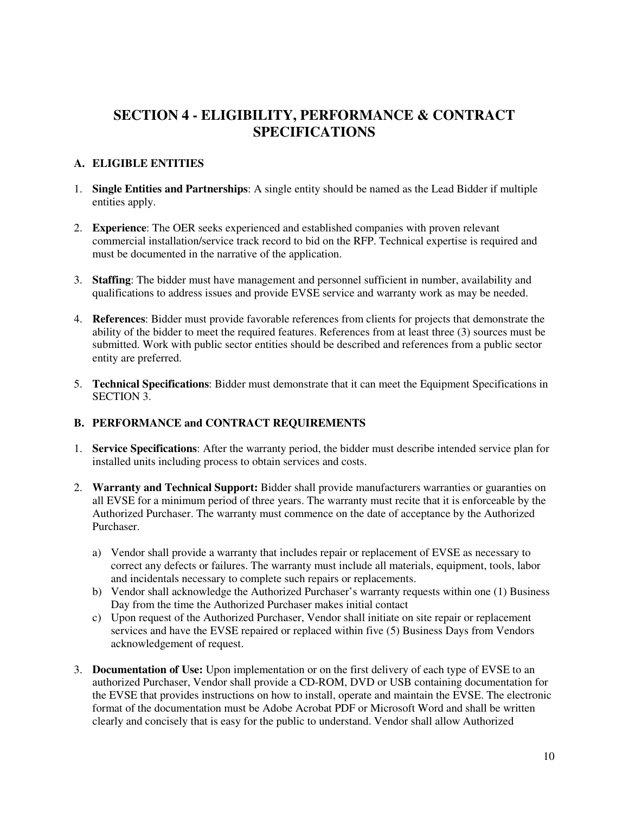### **SECTION 4 - ELIGIBILITY, PERFORMANCE & CONTRACT SPECIFICATIONS**

### **A. ELIGIBLE ENTITIES**

- 1. **Single Entities and Partnerships**: A single entity should be named as the Lead Bidder if multiple entities apply.
- 2. **Experience**: The OER seeks experienced and established companies with proven relevant commercial installation/service track record to bid on the RFP. Technical expertise is required and must be documented in the narrative of the application.
- 3. **Staffing**: The bidder must have management and personnel sufficient in number, availability and qualifications to address issues and provide EVSE service and warranty work as may be needed.
- 4. **References**: Bidder must provide favorable references from clients for projects that demonstrate the ability of the bidder to meet the required features. References from at least three (3) sources must be submitted. Work with public sector entities should be described and references from a public sector entity are preferred.
- 5. **Technical Specifications**: Bidder must demonstrate that it can meet the Equipment Specifications in SECTION 3.

#### **B. PERFORMANCE and CONTRACT REQUIREMENTS**

- 1. **Service Specifications**: After the warranty period, the bidder must describe intended service plan for installed units including process to obtain services and costs.
- 2. **Warranty and Technical Support:** Bidder shall provide manufacturers warranties or guaranties on all EVSE for a minimum period of three years. The warranty must recite that it is enforceable by the Authorized Purchaser. The warranty must commence on the date of acceptance by the Authorized Purchaser.
	- a) Vendor shall provide a warranty that includes repair or replacement of EVSE as necessary to correct any defects or failures. The warranty must include all materials, equipment, tools, labor and incidentals necessary to complete such repairs or replacements.
	- b) Vendor shall acknowledge the Authorized Purchaser's warranty requests within one (1) Business Day from the time the Authorized Purchaser makes initial contact
	- c) Upon request of the Authorized Purchaser, Vendor shall initiate on site repair or replacement services and have the EVSE repaired or replaced within five (5) Business Days from Vendors acknowledgement of request.
- 3. **Documentation of Use:** Upon implementation or on the first delivery of each type of EVSE to an authorized Purchaser, Vendor shall provide a CD-ROM, DVD or USB containing documentation for the EVSE that provides instructions on how to install, operate and maintain the EVSE. The electronic format of the documentation must be Adobe Acrobat PDF or Microsoft Word and shall be written clearly and concisely that is easy for the public to understand. Vendor shall allow Authorized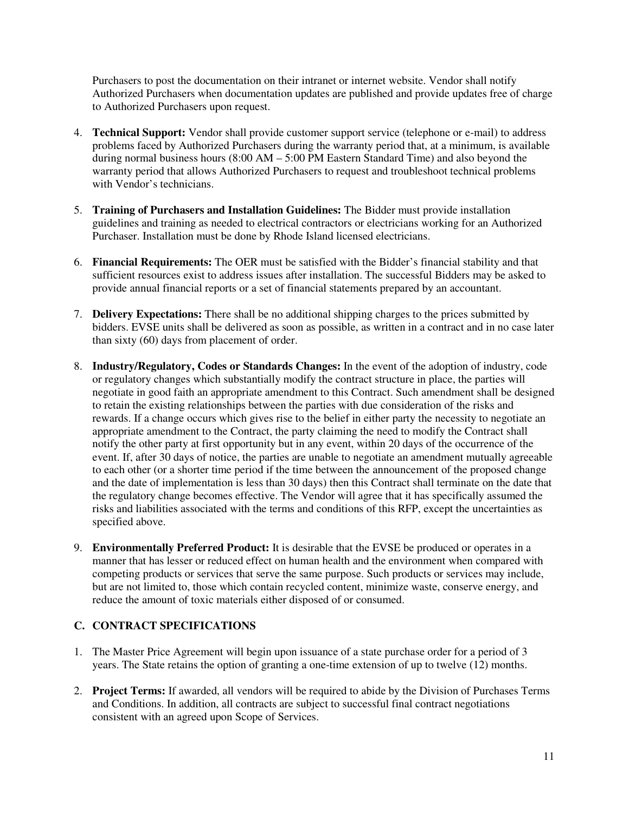Purchasers to post the documentation on their intranet or internet website. Vendor shall notify Authorized Purchasers when documentation updates are published and provide updates free of charge to Authorized Purchasers upon request.

- 4. **Technical Support:** Vendor shall provide customer support service (telephone or e-mail) to address problems faced by Authorized Purchasers during the warranty period that, at a minimum, is available during normal business hours  $(8:00 \text{ AM} - 5:00 \text{ PM}$  Eastern Standard Time) and also beyond the warranty period that allows Authorized Purchasers to request and troubleshoot technical problems with Vendor's technicians.
- 5. **Training of Purchasers and Installation Guidelines:** The Bidder must provide installation guidelines and training as needed to electrical contractors or electricians working for an Authorized Purchaser. Installation must be done by Rhode Island licensed electricians.
- 6. **Financial Requirements:** The OER must be satisfied with the Bidder's financial stability and that sufficient resources exist to address issues after installation. The successful Bidders may be asked to provide annual financial reports or a set of financial statements prepared by an accountant.
- 7. **Delivery Expectations:** There shall be no additional shipping charges to the prices submitted by bidders. EVSE units shall be delivered as soon as possible, as written in a contract and in no case later than sixty (60) days from placement of order.
- 8. **Industry/Regulatory, Codes or Standards Changes:** In the event of the adoption of industry, code or regulatory changes which substantially modify the contract structure in place, the parties will negotiate in good faith an appropriate amendment to this Contract. Such amendment shall be designed to retain the existing relationships between the parties with due consideration of the risks and rewards. If a change occurs which gives rise to the belief in either party the necessity to negotiate an appropriate amendment to the Contract, the party claiming the need to modify the Contract shall notify the other party at first opportunity but in any event, within 20 days of the occurrence of the event. If, after 30 days of notice, the parties are unable to negotiate an amendment mutually agreeable to each other (or a shorter time period if the time between the announcement of the proposed change and the date of implementation is less than 30 days) then this Contract shall terminate on the date that the regulatory change becomes effective. The Vendor will agree that it has specifically assumed the risks and liabilities associated with the terms and conditions of this RFP, except the uncertainties as specified above.
- 9. **Environmentally Preferred Product:** It is desirable that the EVSE be produced or operates in a manner that has lesser or reduced effect on human health and the environment when compared with competing products or services that serve the same purpose. Such products or services may include, but are not limited to, those which contain recycled content, minimize waste, conserve energy, and reduce the amount of toxic materials either disposed of or consumed.

### **C. CONTRACT SPECIFICATIONS**

- 1. The Master Price Agreement will begin upon issuance of a state purchase order for a period of 3 years. The State retains the option of granting a one-time extension of up to twelve (12) months.
- 2. **Project Terms:** If awarded, all vendors will be required to abide by the Division of Purchases Terms and Conditions. In addition, all contracts are subject to successful final contract negotiations consistent with an agreed upon Scope of Services.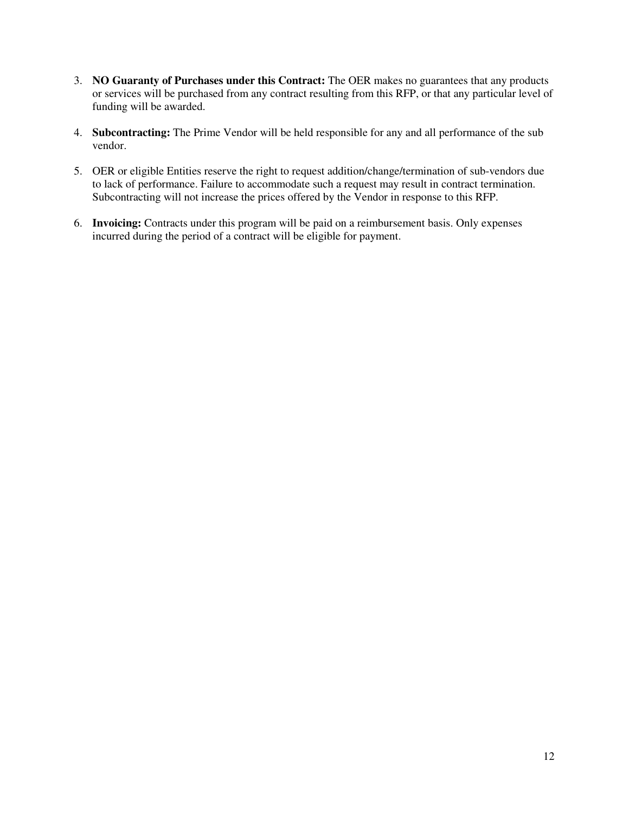- 3. **NO Guaranty of Purchases under this Contract:** The OER makes no guarantees that any products or services will be purchased from any contract resulting from this RFP, or that any particular level of funding will be awarded.
- 4. **Subcontracting:** The Prime Vendor will be held responsible for any and all performance of the sub vendor.
- 5. OER or eligible Entities reserve the right to request addition/change/termination of sub-vendors due to lack of performance. Failure to accommodate such a request may result in contract termination. Subcontracting will not increase the prices offered by the Vendor in response to this RFP.
- 6. **Invoicing:** Contracts under this program will be paid on a reimbursement basis. Only expenses incurred during the period of a contract will be eligible for payment.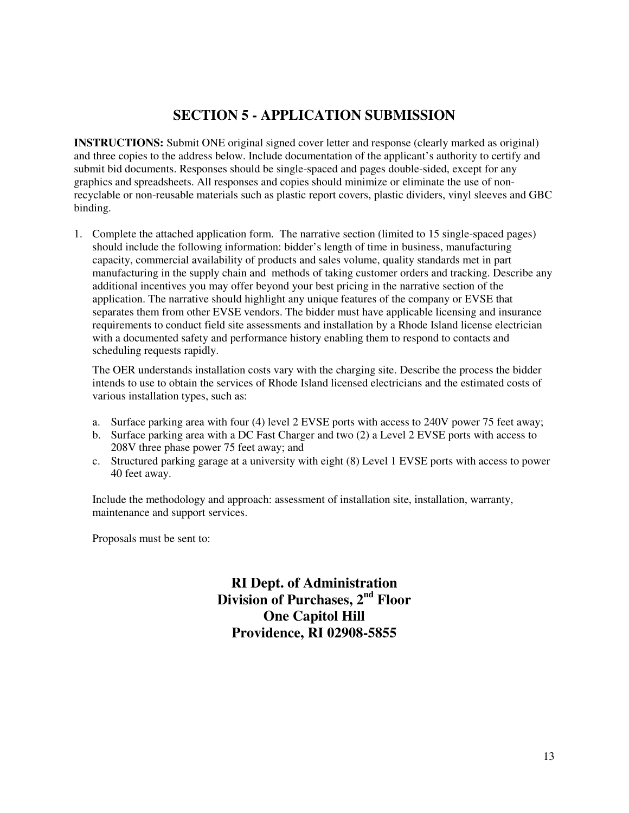### **SECTION 5 - APPLICATION SUBMISSION**

**INSTRUCTIONS:** Submit ONE original signed cover letter and response (clearly marked as original) and three copies to the address below. Include documentation of the applicant's authority to certify and submit bid documents. Responses should be single-spaced and pages double-sided, except for any graphics and spreadsheets. All responses and copies should minimize or eliminate the use of nonrecyclable or non-reusable materials such as plastic report covers, plastic dividers, vinyl sleeves and GBC binding.

1. Complete the attached application form. The narrative section (limited to 15 single-spaced pages) should include the following information: bidder's length of time in business, manufacturing capacity, commercial availability of products and sales volume, quality standards met in part manufacturing in the supply chain and methods of taking customer orders and tracking. Describe any additional incentives you may offer beyond your best pricing in the narrative section of the application. The narrative should highlight any unique features of the company or EVSE that separates them from other EVSE vendors. The bidder must have applicable licensing and insurance requirements to conduct field site assessments and installation by a Rhode Island license electrician with a documented safety and performance history enabling them to respond to contacts and scheduling requests rapidly.

The OER understands installation costs vary with the charging site. Describe the process the bidder intends to use to obtain the services of Rhode Island licensed electricians and the estimated costs of various installation types, such as:

- a. Surface parking area with four (4) level 2 EVSE ports with access to 240V power 75 feet away;
- b. Surface parking area with a DC Fast Charger and two (2) a Level 2 EVSE ports with access to 208V three phase power 75 feet away; and
- c. Structured parking garage at a university with eight (8) Level 1 EVSE ports with access to power 40 feet away.

Include the methodology and approach: assessment of installation site, installation, warranty, maintenance and support services.

Proposals must be sent to:

**RI Dept. of Administration Division of Purchases, 2nd Floor One Capitol Hill Providence, RI 02908-5855**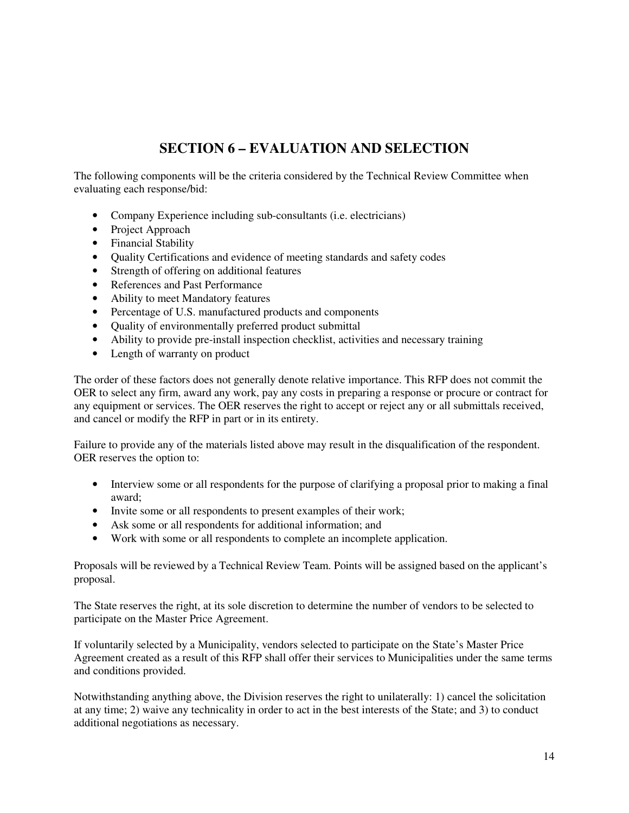# **SECTION 6 – EVALUATION AND SELECTION**

The following components will be the criteria considered by the Technical Review Committee when evaluating each response/bid:

- Company Experience including sub-consultants (i.e. electricians)
- Project Approach
- Financial Stability
- Quality Certifications and evidence of meeting standards and safety codes
- Strength of offering on additional features
- References and Past Performance
- Ability to meet Mandatory features
- Percentage of U.S. manufactured products and components
- Ouality of environmentally preferred product submittal
- Ability to provide pre-install inspection checklist, activities and necessary training
- Length of warranty on product

The order of these factors does not generally denote relative importance. This RFP does not commit the OER to select any firm, award any work, pay any costs in preparing a response or procure or contract for any equipment or services. The OER reserves the right to accept or reject any or all submittals received, and cancel or modify the RFP in part or in its entirety.

Failure to provide any of the materials listed above may result in the disqualification of the respondent. OER reserves the option to:

- Interview some or all respondents for the purpose of clarifying a proposal prior to making a final award;
- Invite some or all respondents to present examples of their work;
- Ask some or all respondents for additional information; and
- Work with some or all respondents to complete an incomplete application.

Proposals will be reviewed by a Technical Review Team. Points will be assigned based on the applicant's proposal.

The State reserves the right, at its sole discretion to determine the number of vendors to be selected to participate on the Master Price Agreement.

If voluntarily selected by a Municipality, vendors selected to participate on the State's Master Price Agreement created as a result of this RFP shall offer their services to Municipalities under the same terms and conditions provided.

Notwithstanding anything above, the Division reserves the right to unilaterally: 1) cancel the solicitation at any time; 2) waive any technicality in order to act in the best interests of the State; and 3) to conduct additional negotiations as necessary.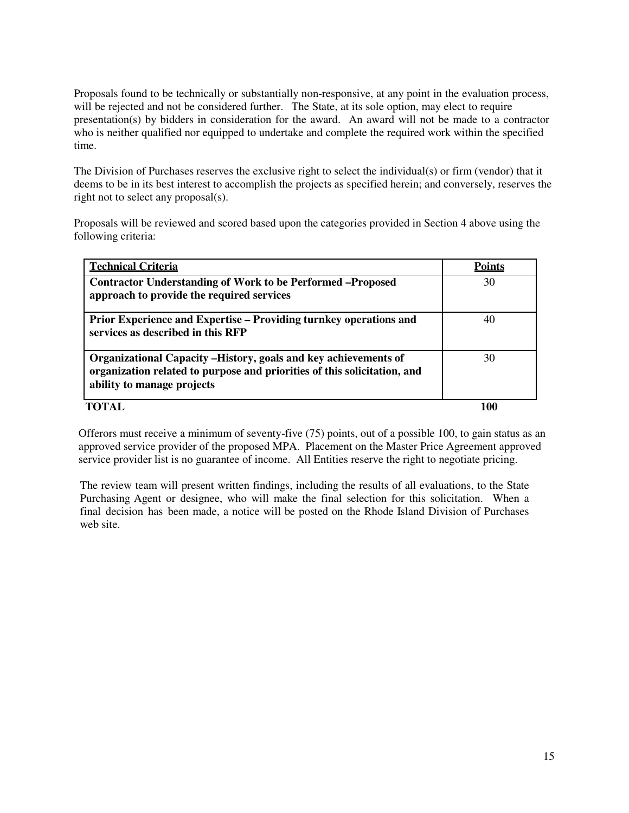Proposals found to be technically or substantially non-responsive, at any point in the evaluation process, will be rejected and not be considered further. The State, at its sole option, may elect to require presentation(s) by bidders in consideration for the award. An award will not be made to a contractor who is neither qualified nor equipped to undertake and complete the required work within the specified time.

The Division of Purchases reserves the exclusive right to select the individual(s) or firm (vendor) that it deems to be in its best interest to accomplish the projects as specified herein; and conversely, reserves the right not to select any proposal(s).

Proposals will be reviewed and scored based upon the categories provided in Section 4 above using the following criteria:

| <b>Technical Criteria</b>                                                                                                                                                 | <b>Points</b> |
|---------------------------------------------------------------------------------------------------------------------------------------------------------------------------|---------------|
| <b>Contractor Understanding of Work to be Performed-Proposed</b><br>approach to provide the required services                                                             | 30            |
| Prior Experience and Expertise – Providing turnkey operations and<br>services as described in this RFP                                                                    | 40            |
| Organizational Capacity -History, goals and key achievements of<br>organization related to purpose and priorities of this solicitation, and<br>ability to manage projects | 30            |
|                                                                                                                                                                           |               |

Offerors must receive a minimum of seventy-five (75) points, out of a possible 100, to gain status as an approved service provider of the proposed MPA. Placement on the Master Price Agreement approved service provider list is no guarantee of income. All Entities reserve the right to negotiate pricing.

The review team will present written findings, including the results of all evaluations, to the State Purchasing Agent or designee, who will make the final selection for this solicitation. When a final decision has been made, a notice will be posted on the Rhode Island Division of Purchases web site.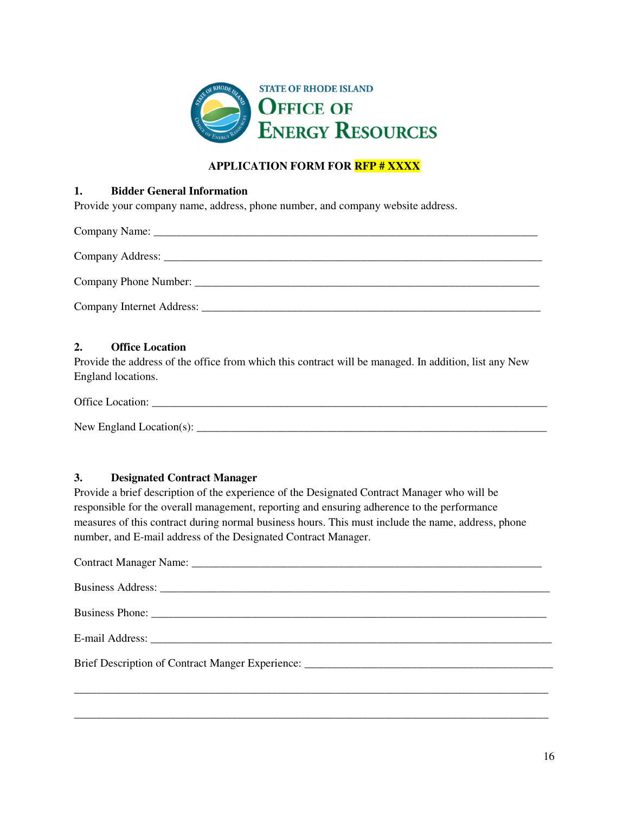

### **APPLICATION FORM FOR RFP # XXXX**

#### **1. Bidder General Information**

Provide your company name, address, phone number, and company website address.

### **2. Office Location**

Provide the address of the office from which this contract will be managed. In addition, list any New England locations.

Office Location:

New England Location(s): \_\_\_\_\_\_\_\_\_\_\_\_\_\_\_\_\_\_\_\_\_\_\_\_\_\_\_\_\_\_\_\_\_\_\_\_\_\_\_\_\_\_\_\_\_\_\_\_\_\_\_\_\_\_\_\_\_\_\_\_\_\_

### **3. Designated Contract Manager**

Provide a brief description of the experience of the Designated Contract Manager who will be responsible for the overall management, reporting and ensuring adherence to the performance measures of this contract during normal business hours. This must include the name, address, phone number, and E-mail address of the Designated Contract Manager.

| Brief Description of Contract Manger Experience: ________________________________ |
|-----------------------------------------------------------------------------------|
|                                                                                   |

\_\_\_\_\_\_\_\_\_\_\_\_\_\_\_\_\_\_\_\_\_\_\_\_\_\_\_\_\_\_\_\_\_\_\_\_\_\_\_\_\_\_\_\_\_\_\_\_\_\_\_\_\_\_\_\_\_\_\_\_\_\_\_\_\_\_\_\_\_\_\_\_\_\_\_\_\_\_\_\_\_\_\_\_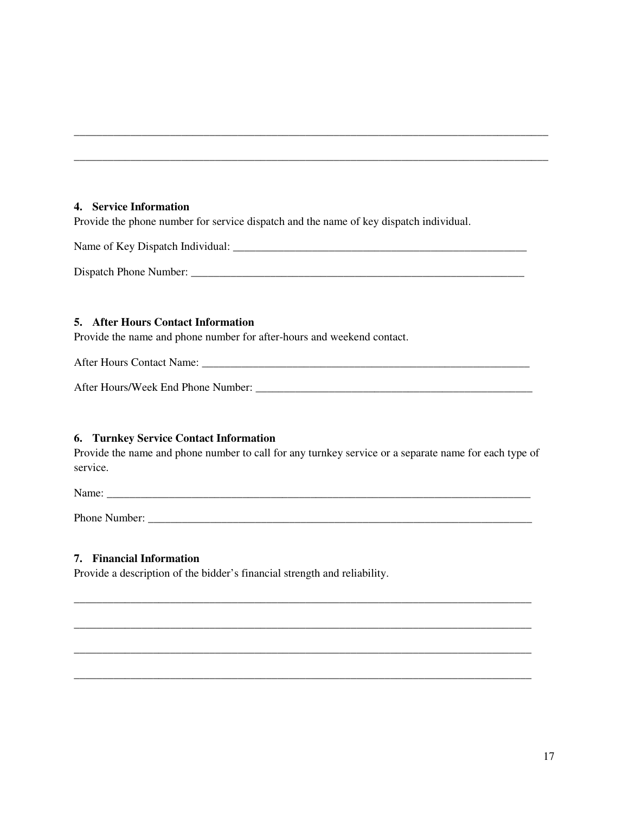#### **4. Service Information**

Provide the phone number for service dispatch and the name of key dispatch individual.

Name of Key Dispatch Individual: \_\_\_\_\_\_\_\_\_\_\_\_\_\_\_\_\_\_\_\_\_\_\_\_\_\_\_\_\_\_\_\_\_\_\_\_\_\_\_\_\_\_\_\_\_\_\_\_\_\_\_\_

\_\_\_\_\_\_\_\_\_\_\_\_\_\_\_\_\_\_\_\_\_\_\_\_\_\_\_\_\_\_\_\_\_\_\_\_\_\_\_\_\_\_\_\_\_\_\_\_\_\_\_\_\_\_\_\_\_\_\_\_\_\_\_\_\_\_\_\_\_\_\_\_\_\_\_\_\_\_\_\_\_\_\_\_

\_\_\_\_\_\_\_\_\_\_\_\_\_\_\_\_\_\_\_\_\_\_\_\_\_\_\_\_\_\_\_\_\_\_\_\_\_\_\_\_\_\_\_\_\_\_\_\_\_\_\_\_\_\_\_\_\_\_\_\_\_\_\_\_\_\_\_\_\_\_\_\_\_\_\_\_\_\_\_\_\_\_\_\_

Dispatch Phone Number: \_\_\_\_\_\_\_\_\_\_\_\_\_\_\_\_\_\_\_\_\_\_\_\_\_\_\_\_\_\_\_\_\_\_\_\_\_\_\_\_\_\_\_\_\_\_\_\_\_\_\_\_\_\_\_\_\_\_\_

### **5. After Hours Contact Information**

Provide the name and phone number for after-hours and weekend contact.

After Hours Contact Name:

After Hours/Week End Phone Number: \_\_\_\_\_\_\_\_\_\_\_\_\_\_\_\_\_\_\_\_\_\_\_\_\_\_\_\_\_\_\_\_\_\_\_\_\_\_\_\_\_\_\_\_\_\_\_\_\_

### **6. Turnkey Service Contact Information**

Provide the name and phone number to call for any turnkey service or a separate name for each type of service.

\_\_\_\_\_\_\_\_\_\_\_\_\_\_\_\_\_\_\_\_\_\_\_\_\_\_\_\_\_\_\_\_\_\_\_\_\_\_\_\_\_\_\_\_\_\_\_\_\_\_\_\_\_\_\_\_\_\_\_\_\_\_\_\_\_\_\_\_\_\_\_\_\_\_\_\_\_\_\_\_\_

\_\_\_\_\_\_\_\_\_\_\_\_\_\_\_\_\_\_\_\_\_\_\_\_\_\_\_\_\_\_\_\_\_\_\_\_\_\_\_\_\_\_\_\_\_\_\_\_\_\_\_\_\_\_\_\_\_\_\_\_\_\_\_\_\_\_\_\_\_\_\_\_\_\_\_\_\_\_\_\_\_

\_\_\_\_\_\_\_\_\_\_\_\_\_\_\_\_\_\_\_\_\_\_\_\_\_\_\_\_\_\_\_\_\_\_\_\_\_\_\_\_\_\_\_\_\_\_\_\_\_\_\_\_\_\_\_\_\_\_\_\_\_\_\_\_\_\_\_\_\_\_\_\_\_\_\_\_\_\_\_\_\_

\_\_\_\_\_\_\_\_\_\_\_\_\_\_\_\_\_\_\_\_\_\_\_\_\_\_\_\_\_\_\_\_\_\_\_\_\_\_\_\_\_\_\_\_\_\_\_\_\_\_\_\_\_\_\_\_\_\_\_\_\_\_\_\_\_\_\_\_\_\_\_\_\_\_\_\_\_\_\_\_\_

Name:

Phone Number: \_\_\_\_\_\_\_\_\_\_\_\_\_\_\_\_\_\_\_\_\_\_\_\_\_\_\_\_\_\_\_\_\_\_\_\_\_\_\_\_\_\_\_\_\_\_\_\_\_\_\_\_\_\_\_\_\_\_\_\_\_\_\_\_\_\_\_\_

### **7. Financial Information**

Provide a description of the bidder's financial strength and reliability.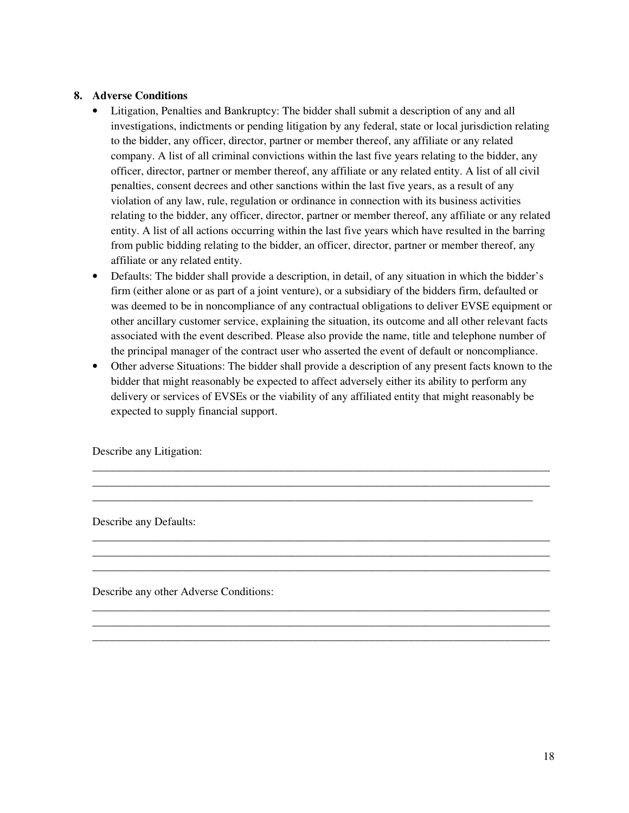### **8. Adverse Conditions**

- Litigation, Penalties and Bankruptcy: The bidder shall submit a description of any and all investigations, indictments or pending litigation by any federal, state or local jurisdiction relating to the bidder, any officer, director, partner or member thereof, any affiliate or any related company. A list of all criminal convictions within the last five years relating to the bidder, any officer, director, partner or member thereof, any affiliate or any related entity. A list of all civil penalties, consent decrees and other sanctions within the last five years, as a result of any violation of any law, rule, regulation or ordinance in connection with its business activities relating to the bidder, any officer, director, partner or member thereof, any affiliate or any related entity. A list of all actions occurring within the last five years which have resulted in the barring from public bidding relating to the bidder, an officer, director, partner or member thereof, any affiliate or any related entity.
- Defaults: The bidder shall provide a description, in detail, of any situation in which the bidder's firm (either alone or as part of a joint venture), or a subsidiary of the bidders firm, defaulted or was deemed to be in noncompliance of any contractual obligations to deliver EVSE equipment or other ancillary customer service, explaining the situation, its outcome and all other relevant facts associated with the event described. Please also provide the name, title and telephone number of the principal manager of the contract user who asserted the event of default or noncompliance.
- Other adverse Situations: The bidder shall provide a description of any present facts known to the bidder that might reasonably be expected to affect adversely either its ability to perform any delivery or services of EVSEs or the viability of any affiliated entity that might reasonably be expected to supply financial support.

\_\_\_\_\_\_\_\_\_\_\_\_\_\_\_\_\_\_\_\_\_\_\_\_\_\_\_\_\_\_\_\_\_\_\_\_\_\_\_\_\_\_\_\_\_\_\_\_\_\_\_\_\_\_\_\_\_\_\_\_\_\_\_\_\_\_\_\_\_\_\_\_\_\_\_\_\_\_\_\_\_ \_\_\_\_\_\_\_\_\_\_\_\_\_\_\_\_\_\_\_\_\_\_\_\_\_\_\_\_\_\_\_\_\_\_\_\_\_\_\_\_\_\_\_\_\_\_\_\_\_\_\_\_\_\_\_\_\_\_\_\_\_\_\_\_\_\_\_\_\_\_\_\_\_\_\_\_\_\_\_\_\_ \_\_\_\_\_\_\_\_\_\_\_\_\_\_\_\_\_\_\_\_\_\_\_\_\_\_\_\_\_\_\_\_\_\_\_\_\_\_\_\_\_\_\_\_\_\_\_\_\_\_\_\_\_\_\_\_\_\_\_\_\_\_\_\_\_\_\_\_\_\_\_\_\_\_\_\_\_\_

\_\_\_\_\_\_\_\_\_\_\_\_\_\_\_\_\_\_\_\_\_\_\_\_\_\_\_\_\_\_\_\_\_\_\_\_\_\_\_\_\_\_\_\_\_\_\_\_\_\_\_\_\_\_\_\_\_\_\_\_\_\_\_\_\_\_\_\_\_\_\_\_\_\_\_\_\_\_\_\_\_ \_\_\_\_\_\_\_\_\_\_\_\_\_\_\_\_\_\_\_\_\_\_\_\_\_\_\_\_\_\_\_\_\_\_\_\_\_\_\_\_\_\_\_\_\_\_\_\_\_\_\_\_\_\_\_\_\_\_\_\_\_\_\_\_\_\_\_\_\_\_\_\_\_\_\_\_\_\_\_\_\_ \_\_\_\_\_\_\_\_\_\_\_\_\_\_\_\_\_\_\_\_\_\_\_\_\_\_\_\_\_\_\_\_\_\_\_\_\_\_\_\_\_\_\_\_\_\_\_\_\_\_\_\_\_\_\_\_\_\_\_\_\_\_\_\_\_\_\_\_\_\_\_\_\_\_\_\_\_\_\_\_\_

\_\_\_\_\_\_\_\_\_\_\_\_\_\_\_\_\_\_\_\_\_\_\_\_\_\_\_\_\_\_\_\_\_\_\_\_\_\_\_\_\_\_\_\_\_\_\_\_\_\_\_\_\_\_\_\_\_\_\_\_\_\_\_\_\_\_\_\_\_\_\_\_\_\_\_\_\_\_\_\_\_ \_\_\_\_\_\_\_\_\_\_\_\_\_\_\_\_\_\_\_\_\_\_\_\_\_\_\_\_\_\_\_\_\_\_\_\_\_\_\_\_\_\_\_\_\_\_\_\_\_\_\_\_\_\_\_\_\_\_\_\_\_\_\_\_\_\_\_\_\_\_\_\_\_\_\_\_\_\_\_\_\_ \_\_\_\_\_\_\_\_\_\_\_\_\_\_\_\_\_\_\_\_\_\_\_\_\_\_\_\_\_\_\_\_\_\_\_\_\_\_\_\_\_\_\_\_\_\_\_\_\_\_\_\_\_\_\_\_\_\_\_\_\_\_\_\_\_\_\_\_\_\_\_\_\_\_\_\_\_\_\_\_\_

Describe any Litigation:

Describe any Defaults:

Describe any other Adverse Conditions: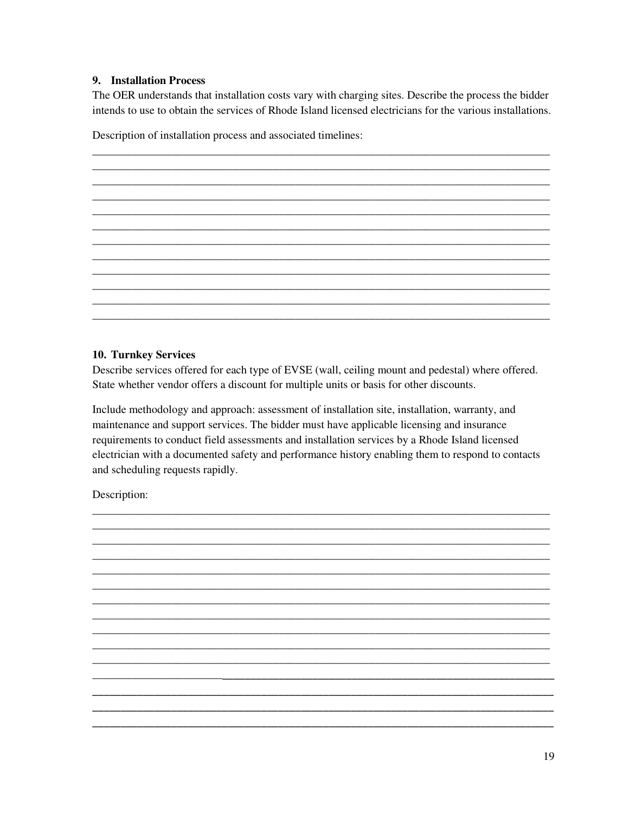### 9. Installation Process

The OER understands that installation costs vary with charging sites. Describe the process the bidder intends to use to obtain the services of Rhode Island licensed electricians for the various installations.

Description of installation process and associated timelines:

#### **10. Turnkey Services**

Describe services offered for each type of EVSE (wall, ceiling mount and pedestal) where offered. State whether vendor offers a discount for multiple units or basis for other discounts.

Include methodology and approach: assessment of installation site, installation, warranty, and maintenance and support services. The bidder must have applicable licensing and insurance requirements to conduct field assessments and installation services by a Rhode Island licensed electrician with a documented safety and performance history enabling them to respond to contacts and scheduling requests rapidly.

Description: